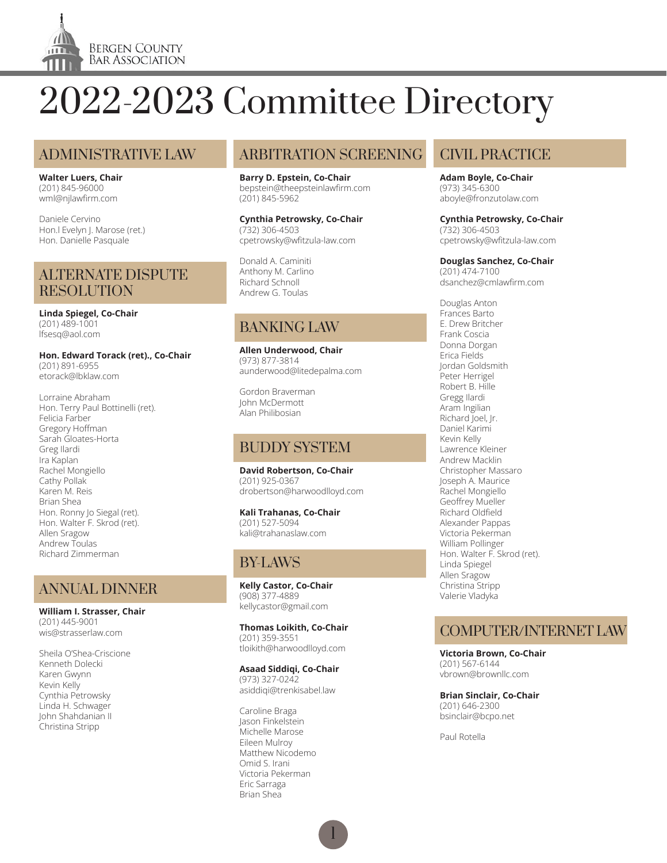

#### ADMINISTRATIVE LAW

**Walter Luers, Chair** (201) 845-96000 wml@njlawfirm.com

Daniele Cervino Hon.l Evelyn J. Marose (ret.) Hon. Danielle Pasquale

#### ALTERNATE DISPUTE **RESOLUTION**

**Linda Spiegel, Co-Chair** (201) 489-1001 lfsesq@aol.com

**Hon. Edward Torack (ret)., Co-Chair** (201) 891-6955 etorack@lbklaw.com

Lorraine Abraham Hon. Terry Paul Bottinelli (ret). Felicia Farber Gregory Hoffman Sarah Gloates-Horta Greg Ilardi Ira Kaplan Rachel Mongiello Cathy Pollak Karen M. Reis Brian Shea Hon. Ronny Jo Siegal (ret). Hon. Walter F. Skrod (ret). Allen Sragow Andrew Toulas Richard Zimmerman

# ANNUAL DINNER

**William I. Strasser, Chair** (201) 445-9001 wis@strasserlaw.com

Sheila O'Shea-Criscione Kenneth Dolecki Karen Gwynn Kevin Kelly Cynthia Petrowsky Linda H. Schwager John Shahdanian II Christina Stripp

# ARBITRATION SCREENING

**Barry D. Epstein, Co-Chair** bepstein@theepsteinlawfirm.com (201) 845-5962

**Cynthia Petrowsky, Co-Chair** (732) 306-4503 cpetrowsky@wfitzula-law.com

Donald A. Caminiti Anthony M. Carlino Richard Schnoll Andrew G. Toulas

## BANKING LAW

**Allen Underwood, Chair** (973) 877-3814 aunderwood@litedepalma.com

Gordon Braverman John McDermott Alan Philibosian

# BUDDY SYSTEM

**David Robertson, Co-Chair** (201) 925-0367 drobertson@harwoodlloyd.com

**Kali Trahanas, Co-Chair** (201) 527-5094 kali@trahanaslaw.com

# BY-LAWS

**Kelly Castor, Co-Chair** (908) 377-4889 kellycastor@gmail.com

**Thomas Loikith, Co-Chair** (201) 359-3551 tloikith@harwoodlloyd.com

#### **Asaad Siddiqi, Co-Chair**

(973) 327-0242 asiddiqi@trenkisabel.law

Caroline Braga Jason Finkelstein Michelle Marose Eileen Mulroy Matthew Nicodemo Omid S. Irani Victoria Pekerman Eric Sarraga Brian Shea

## CIVIL PRACTICE

**Adam Boyle, Co-Chair** (973) 345-6300 aboyle@fronzutolaw.com

**Cynthia Petrowsky, Co-Chair** (732) 306-4503 cpetrowsky@wfitzula-law.com

#### **Douglas Sanchez, Co-Chair**

(201) 474-7100 dsanchez@cmlawfirm.com

Douglas Anton Frances Barto E. Drew Britcher Frank Coscia Donna Dorgan Erica Fields Jordan Goldsmith Peter Herrigel Robert B. Hille Gregg Ilardi Aram Ingilian Richard Joel, Jr. Daniel Karimi Kevin Kelly Lawrence Kleiner Andrew Macklin Christopher Massaro Joseph A. Maurice Rachel Mongiello Geoffrey Mueller Richard Oldfield Alexander Pappas Victoria Pekerman William Pollinger Hon. Walter F. Skrod (ret). Linda Spiegel Allen Sragow Christina Stripp Valerie Vladyka

# COMPUTER/INTERNET LAW

**Victoria Brown, Co-Chair** (201) 567-6144 vbrown@brownllc.com

**Brian Sinclair, Co-Chair** (201) 646-2300 bsinclair@bcpo.net

Paul Rotella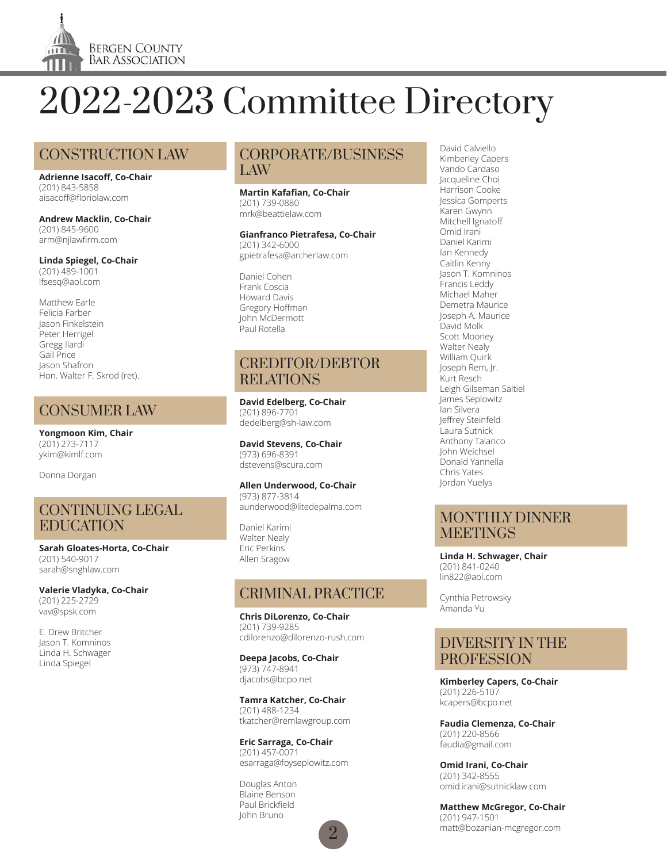

# CONSTRUCTION LAW

**Adrienne Isacoff, Co-Chair** (201) 843-5858 aisacoff@floriolaw.com

**Andrew Macklin, Co-Chair** (201) 845-9600 arm@njlawfirm.com

**Linda Spiegel, Co-Chair** (201) 489-1001 lfsesq@aol.com

Matthew Earle Felicia Farber Jason Finkelstein Peter Herrigel Gregg Ilardi Gail Price Jason Shafron Hon. Walter F. Skrod (ret).

## CONSUMER LAW

**Yongmoon Kim, Chair** (201) 273-7117 ykim@kimlf.com

Donna Dorgan

#### CONTINUING LEGAL EDUCATION

**Sarah Gloates-Horta, Co-Chair** (201) 540-9017 sarah@snghlaw.com

**Valerie Vladyka, Co-Chair** (201) 225-2729 vav@spsk.com

E. Drew Britcher Jason T. Komninos Linda H. Schwager Linda Spiegel

#### CORPORATE/BUSINESS LAW

#### **Martin Kafafian, Co-Chair** (201) 739-0880 mrk@beattielaw.com

**Gianfranco Pietrafesa, Co-Chair** (201) 342-6000 gpietrafesa@archerlaw.com

Daniel Cohen Frank Coscia Howard Davis Gregory Hoffman John McDermott Paul Rotella

#### CREDITOR/DEBTOR RELATIONS

**David Edelberg, Co-Chair** (201) 896-7701 dedelberg@sh-law.com

**David Stevens, Co-Chair** (973) 696-8391 dstevens@scura.com

#### **Allen Underwood, Co-Chair** (973) 877-3814

aunderwood@litedepalma.com

Daniel Karimi Walter Nealy Eric Perkins Allen Sragow

## CRIMINAL PRACTICE

**Chris DiLorenzo, Co-Chair** (201) 739-9285 cdilorenzo@dilorenzo-rush.com

**Deepa Jacobs, Co-Chair** (973) 747-8941 djacobs@bcpo.net

**Tamra Katcher, Co-Chair** (201) 488-1234 tkatcher@remlawgroup.com

**Eric Sarraga, Co-Chair** (201) 457-0071 esarraga@foyseplowitz.com

 $\overline{2}$ 

Douglas Anton Blaine Benson Paul Brickfield John Bruno

David Calviello Kimberley Capers Vando Cardaso Jacqueline Choi Harrison Cooke Jessica Gomperts Karen Gwynn Mitchell Ignatoff Omid Irani Daniel Karimi Ian Kennedy Caitlin Kenny Jason T. Komninos Francis Leddy Michael Maher Demetra Maurice Joseph A. Maurice David Molk Scott Mooney Walter Nealy William Quirk Joseph Rem, Jr. Kurt Resch Leigh Gilseman Saltiel James Seplowitz Ian Silvera Jeffrey Steinfeld Laura Sutnick Anthony Talarico John Weichsel Donald Yannella Chris Yates Jordan Yuelys

#### MONTHLY DINNER **MEETINGS**

**Linda H. Schwager, Chair** (201) 841-0240 lin822@aol.com

Cynthia Petrowsky Amanda Yu

#### DIVERSITY IN THE **PROFESSION**

**Kimberley Capers, Co-Chair** (201) 226-5107 kcapers@bcpo.net

**Faudia Clemenza, Co-Chair** (201) 220-8566 faudia@gmail.com

**Omid Irani, Co-Chair** (201) 342-8555 omid.irani@sutnicklaw.com

**Matthew McGregor, Co-Chair** (201) 947-1501 matt@bozanian-mcgregor.com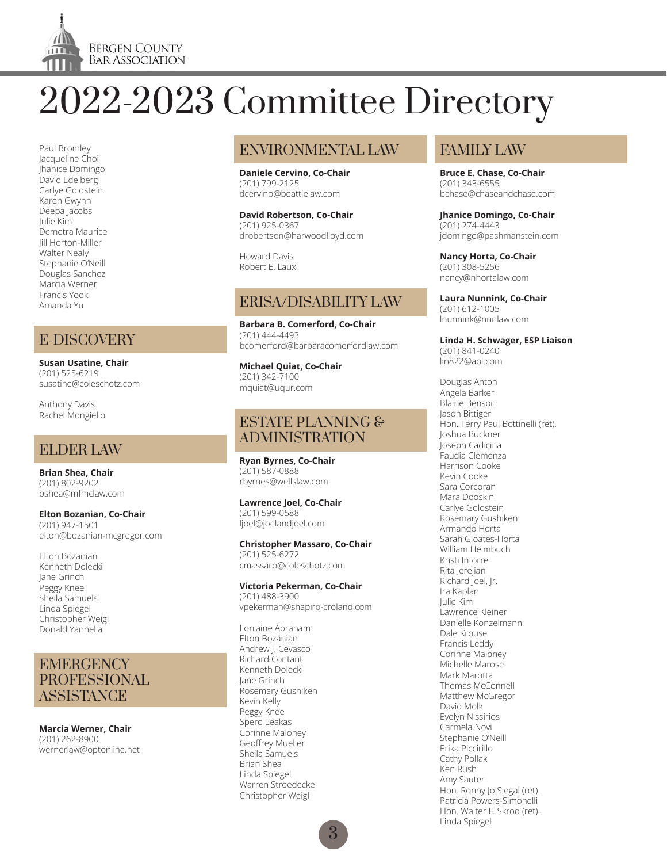

Paul Bromley Jacqueline Choi Jhanice Domingo David Edelberg Carlye Goldstein Karen Gwynn Deepa Jacobs Julie Kim Demetra Maurice Jill Horton-Miller Walter Nealy Stephanie O'Neill Douglas Sanchez Marcia Werner Francis Yook Amanda Yu

# E-DISCOVERY

**Susan Usatine, Chair** (201) 525-6219 susatine@coleschotz.com

Anthony Davis Rachel Mongiello

# ELDER LAW

**Brian Shea, Chair** (201) 802-9202 bshea@mfmclaw.com

**Elton Bozanian, Co-Chair** (201) 947-1501 elton@bozanian-mcgregor.com

Elton Bozanian Kenneth Dolecki Jane Grinch Peggy Knee Sheila Samuels Linda Spiegel Christopher Weigl Donald Yannella

#### **EMERGENCY** PROFESSIONAL **ASSISTANCE**

**Marcia Werner, Chair** (201) 262-8900 wernerlaw@optonline.net

# ENVIRONMENTAL LAW

**Daniele Cervino, Co-Chair** (201) 799-2125 dcervino@beattielaw.com

**David Robertson, Co-Chair** (201) 925-0367 drobertson@harwoodlloyd.com

Howard Davis Robert E. Laux

# ERISA/DISABILITY LAW

**Barbara B. Comerford, Co-Chair** (201) 444-4493 bcomerford@barbaracomerfordlaw.com

**Michael Quiat, Co-Chair** (201) 342-7100 mquiat@uqur.com

#### ESTATE PLANNING & ADMINISTRATION

**Ryan Byrnes, Co-Chair** (201) 587-0888 rbyrnes@wellslaw.com

**Lawrence Joel, Co-Chair** (201) 599-0588 ljoel@joelandjoel.com

#### **Christopher Massaro, Co-Chair**

(201) 525-6272 cmassaro@coleschotz.com

#### **Victoria Pekerman, Co-Chair**

(201) 488-3900 vpekerman@shapiro-croland.com

Lorraine Abraham Elton Bozanian Andrew J. Cevasco Richard Contant Kenneth Dolecki Jane Grinch Rosemary Gushiken Kevin Kelly Peggy Knee Spero Leakas Corinne Maloney Geoffrey Mueller Sheila Samuels Brian Shea Linda Spiegel Warren Stroedecke Christopher Weigl

# FAMILY LAW

**Bruce E. Chase, Co-Chair** (201) 343-6555 bchase@chaseandchase.com

**Jhanice Domingo, Co-Chair** (201) 274-4443 jdomingo@pashmanstein.com

**Nancy Horta, Co-Chair** (201) 308-5256 nancy@nhortalaw.com

**Laura Nunnink, Co-Chair** (201) 612-1005 lnunnink@nnnlaw.com

**Linda H. Schwager, ESP Liaison** (201) 841-0240 lin822@aol.com

Douglas Anton Angela Barker Blaine Benson Jason Bittiger Hon. Terry Paul Bottinelli (ret). Joshua Buckner Joseph Cadicina Faudia Clemenza Harrison Cooke Kevin Cooke Sara Corcoran Mara Dooskin Carlye Goldstein Rosemary Gushiken Armando Horta Sarah Gloates-Horta William Heimbuch Kristi Intorre Rita Jerejian Richard Joel, Jr. Ira Kaplan Julie Kim Lawrence Kleiner Danielle Konzelmann Dale Krouse Francis Leddy Corinne Maloney Michelle Marose Mark Marotta Thomas McConnell Matthew McGregor David Molk Evelyn Nissirios Carmela Novi Stephanie O'Neill Erika Piccirillo Cathy Pollak Ken Rush Amy Sauter Hon. Ronny Jo Siegal (ret). Patricia Powers-Simonelli Hon. Walter F. Skrod (ret). Linda Spiegel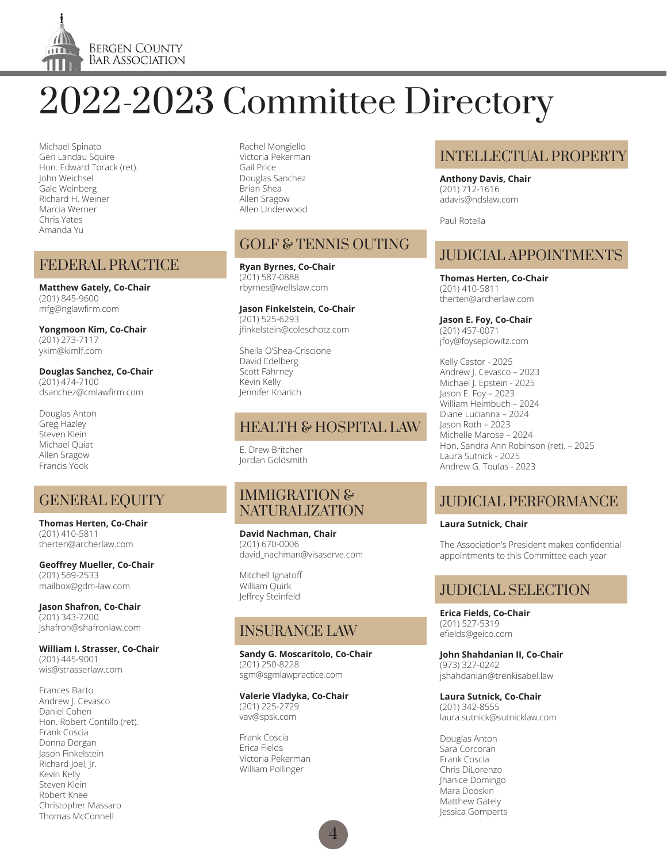

Michael Spinato Geri Landau Squire Hon. Edward Torack (ret). John Weichsel Gale Weinberg Richard H. Weiner Marcia Werner Chris Yates Amanda Yu

#### FEDERAL PRACTICE

**Matthew Gately, Co-Chair** (201) 845-9600 mfg@nglawfirm.com

**Yongmoon Kim, Co-Chair** (201) 273-7117 ykim@kimlf.com

**Douglas Sanchez, Co-Chair** (201) 474-7100 dsanchez@cmlawfirm.com

Douglas Anton Greg Hazley Steven Klein Michael Quiat Allen Sragow Francis Yook

## GENERAL EQUITY

**Thomas Herten, Co-Chair** (201) 410-5811 therten@archerlaw.com

**Geoffrey Mueller, Co-Chair** (201) 569-2533 mailbox@gdm-law.com

**Jason Shafron, Co-Chair** (201) 343-7200 jshafron@shafronlaw.com

#### **William I. Strasser, Co-Chair**

(201) 445-9001 wis@strasserlaw.com

Frances Barto Andrew J. Cevasco Daniel Cohen Hon. Robert Contillo (ret). Frank Coscia Donna Dorgan Jason Finkelstein Richard Joel, Jr. Kevin Kelly Steven Klein Robert Knee Christopher Massaro Thomas McConnell

Rachel Mongiello Victoria Pekerman Gail Price Douglas Sanchez Brian Shea Allen Sragow Allen Underwood

# GOLF & TENNIS OUTING

**Ryan Byrnes, Co-Chair** (201) 587-0888 rbyrnes@wellslaw.com

**Jason Finkelstein, Co-Chair** (201) 525-6293 jfinkelstein@coleschotz.com

Sheila O'Shea-Criscione David Edelberg Scott Fahrney Kevin Kelly Jennifer Knarich

## HEALTH & HOSPITAL LAW

E. Drew Britcher Jordan Goldsmith

#### IMMIGRATION & NATURALIZATION

**David Nachman, Chair** (201) 670-0006 david\_nachman@visaserve.com

Mitchell Ignatoff William Quirk Jeffrey Steinfeld

## INSURANCE LAW

**Sandy G. Moscaritolo, Co-Chair** (201) 250-8228 sgm@sgmlawpractice.com

**Valerie Vladyka, Co-Chair** (201) 225-2729 vav@spsk.com

Frank Coscia Erica Fields Victoria Pekerman William Pollinger

## INTELLECTUAL PROPERTY

**Anthony Davis, Chair** (201) 712-1616 adavis@ndslaw.com

Paul Rotella

# JUDICIAL APPOINTMENTS

**Thomas Herten, Co-Chair** (201) 410-5811 therten@archerlaw.com

**Jason E. Foy, Co-Chair**  (201) 457-0071 jfoy@foyseplowitz.com

Kelly Castor - 2025 Andrew J. Cevasco – 2023 Michael J. Epstein - 2025 Jason E. Foy – 2023 William Heimbuch – 2024 Diane Lucianna – 2024 Jason Roth – 2023 Michelle Marose – 2024 Hon. Sandra Ann Robinson (ret). – 2025 Laura Sutnick - 2025 Andrew G. Toulas - 2023

# JUDICIAL PERFORMANCE

#### **Laura Sutnick, Chair**

The Association's President makes confidential appointments to this Committee each year

# JUDICIAL SELECTION

**Erica Fields, Co-Chair** (201) 527-5319 efields@geico.com

**John Shahdanian II, Co-Chair** (973) 327-0242 jshahdanian@trenkisabel.law

**Laura Sutnick, Co-Chair** (201) 342-8555 laura.sutnick@sutnicklaw.com

Douglas Anton Sara Corcoran Frank Coscia Chris DiLorenzo Jhanice Domingo Mara Dooskin Matthew Gately Jessica Gomperts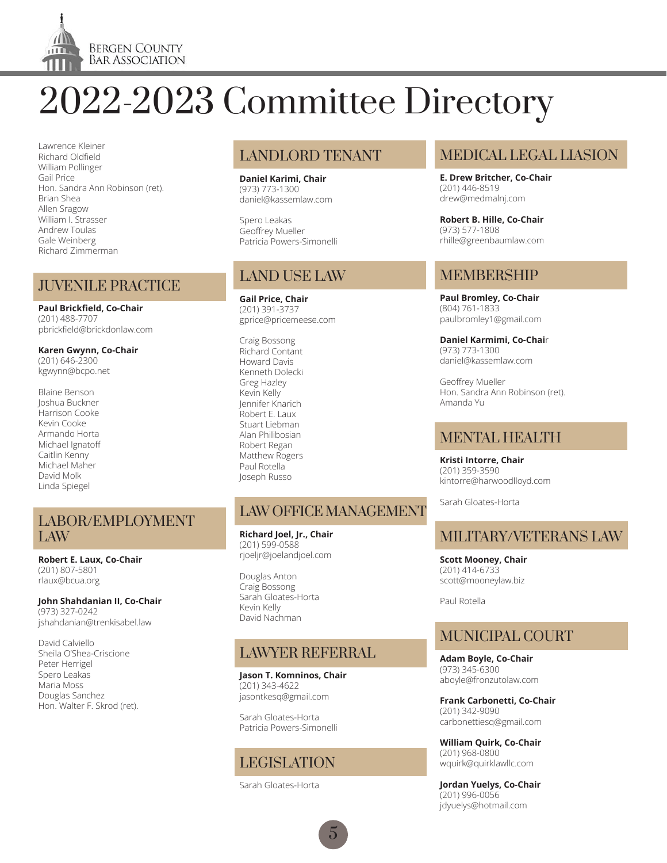

Lawrence Kleiner Richard Oldfield William Pollinger Gail Price Hon. Sandra Ann Robinson (ret). Brian Shea Allen Sragow William I. Strasser Andrew Toulas Gale Weinberg Richard Zimmerman

#### JUVENILE PRACTICE

**Paul Brickfield, Co-Chair** (201) 488-7707 pbrickfield@brickdonlaw.com

**Karen Gwynn, Co-Chair** (201) 646-2300 kgwynn@bcpo.net

Blaine Benson Joshua Buckner Harrison Cooke Kevin Cooke Armando Horta Michael Ignatoff Caitlin Kenny Michael Maher David Molk Linda Spiegel

#### LABOR/EMPLOYMENT LAW

**Robert E. Laux, Co-Chair** (201) 807-5801 rlaux@bcua.org

**John Shahdanian II, Co-Chair**

(973) 327-0242 jshahdanian@trenkisabel.law

David Calviello Sheila O'Shea-Criscione Peter Herrigel Spero Leakas Maria Moss Douglas Sanchez Hon. Walter F. Skrod (ret).

## LANDLORD TENANT

**Daniel Karimi, Chair** (973) 773-1300 daniel@kassemlaw.com

Spero Leakas Geoffrey Mueller Patricia Powers-Simonelli

# LAND USE LAW

**Gail Price, Chair** (201) 391-3737 gprice@pricemeese.com

Craig Bossong Richard Contant Howard Davis Kenneth Dolecki Greg Hazley Kevin Kelly Jennifer Knarich Robert E. Laux Stuart Liebman Alan Philibosian Robert Regan Matthew Rogers Paul Rotella Joseph Russo

# LAW OFFICE MANAGEMENT

**Richard Joel, Jr., Chair** (201) 599-0588 rjoeljr@joelandjoel.com

Douglas Anton Craig Bossong Sarah Gloates-Horta Kevin Kelly David Nachman

# LAWYER REFERRAL

**Jason T. Komninos, Chair** (201) 343-4622 jasontkesq@gmail.com

Sarah Gloates-Horta Patricia Powers-Simonelli

# LEGISLATION

Sarah Gloates-Horta

# MEDICAL LEGAL LIASION

**E. Drew Britcher, Co-Chair** (201) 446-8519 drew@medmalnj.com

**Robert B. Hille, Co-Chair** (973) 577-1808 rhille@greenbaumlaw.com

# MEMBERSHIP

**Paul Bromley, Co-Chair** (804) 761-1833 paulbromley1@gmail.com

**Daniel Karmimi, Co-Chai**r (973) 773-1300 daniel@kassemlaw.com

Geoffrey Mueller Hon. Sandra Ann Robinson (ret). Amanda Yu

#### MENTAL HEALTH

**Kristi Intorre, Chair** (201) 359-3590 kintorre@harwoodlloyd.com

Sarah Gloates-Horta

# MILITARY/VETERANS LAW

**Scott Mooney, Chair** (201) 414-6733 scott@mooneylaw.biz

Paul Rotella

# MUNICIPAL COURT

**Adam Boyle, Co-Chair** (973) 345-6300 aboyle@fronzutolaw.com

**Frank Carbonetti, Co-Chair** (201) 342-9090 carbonettiesq@gmail.com

**William Quirk, Co-Chair** (201) 968-0800 wquirk@quirklawllc.com

**Jordan Yuelys, Co-Chair** (201) 996-0056 jdyuelys@hotmail.com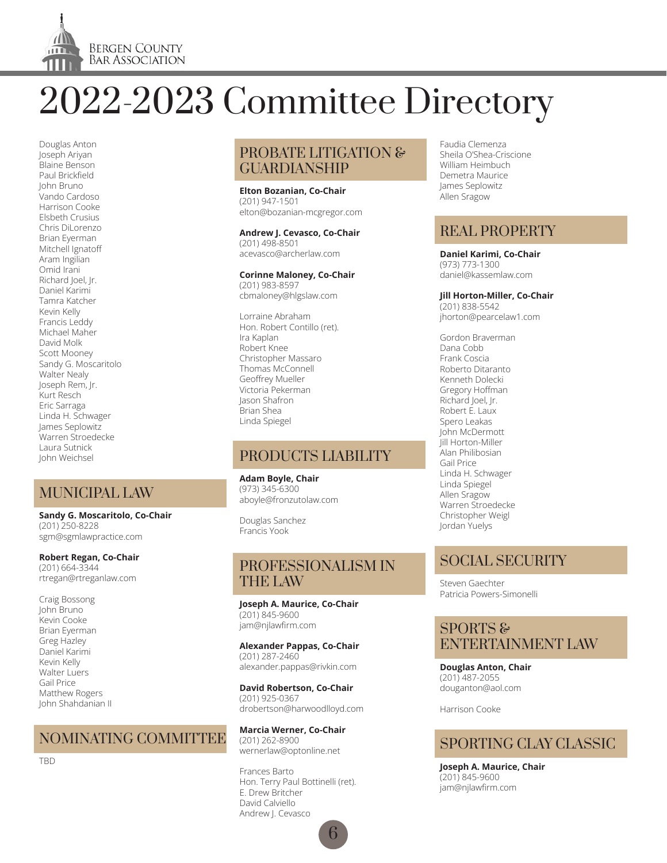

Douglas Anton Joseph Ariyan Blaine Benson Paul Brickfield John Bruno .<br>Vando Cardoso Harrison Cooke Elsbeth Crusius Chris DiLorenzo Brian Eyerman Mitchell Ignatoff Aram Ingilian Omid Irani Richard Joel, Jr. Daniel Karimi Tamra Katcher Kevin Kelly Francis Leddy Michael Maher David Molk Scott Mooney Sandy G. Moscaritolo Walter Nealy Joseph Rem, Jr. Kurt Resch Eric Sarraga Linda H. Schwager James Seplowitz Warren Stroedecke Laura Sutnick John Weichsel

# MUNICIPAL LAW

**Sandy G. Moscaritolo, Co-Chair** (201) 250-8228 sgm@sgmlawpractice.com

#### **Robert Regan, Co-Chair** (201) 664-3344

rtregan@rtreganlaw.com

Craig Bossong John Bruno Kevin Cooke Brian Eyerman Greg Hazley Daniel Karimi Kevin Kelly Walter Luers Gail Price Matthew Rogers John Shahdanian II

## NOMINATING COMMITTEE

TBD

#### PROBATE LITIGATION & GUARDIANSHIP

**Elton Bozanian, Co-Chair** (201) 947-1501 elton@bozanian-mcgregor.com

**Andrew J. Cevasco, Co-Chair** (201) 498-8501 acevasco@archerlaw.com

## **Corinne Maloney, Co-Chair**

(201) 983-8597 cbmaloney@hlgslaw.com

Lorraine Abraham Hon. Robert Contillo (ret). Ira Kaplan Robert Knee Christopher Massaro Thomas McConnell Geoffrey Mueller Victoria Pekerman Jason Shafron Brian Shea Linda Spiegel

## PRODUCTS LIABILITY

**Adam Boyle, Chair** (973) 345-6300 aboyle@fronzutolaw.com

Douglas Sanchez Francis Yook

#### PROFESSIONALISM IN THE LAW

**Joseph A. Maurice, Co-Chair** (201) 845-9600 jam@njlawfirm.com

**Alexander Pappas, Co-Chair** (201) 287-2460 alexander.pappas@rivkin.com

**David Robertson, Co-Chair** (201) 925-0367 drobertson@harwoodlloyd.com

**Marcia Werner, Co-Chair** (201) 262-8900 wernerlaw@optonline.net

Frances Barto Hon. Terry Paul Bottinelli (ret). E. Drew Britcher David Calviello Andrew J. Cevasco

6

Faudia Clemenza Sheila O'Shea-Criscione William Heimbuch Demetra Maurice James Seplowitz Allen Sragow

## REAL PROPERTY

**Daniel Karimi, Co-Chair** (973) 773-1300 daniel@kassemlaw.com

**Jill Horton-Miller, Co-Chair** (201) 838-5542 jhorton@pearcelaw1.com

Gordon Braverman

Dana Cobb Frank Coscia Roberto Ditaranto Kenneth Dolecki Gregory Hoffman Richard Joel, Jr. Robert E. Laux Spero Leakas John McDermott Jill Horton-Miller Alan Philibosian Gail Price Linda H. Schwager Linda Spiegel Allen Sragow Warren Stroedecke Christopher Weigl Jordan Yuelys

## SOCIAL SECURITY

Steven Gaechter Patricia Powers-Simonelli

#### SPORTS & ENTERTAINMENT LAW

**Douglas Anton, Chair** (201) 487-2055 douganton@aol.com

Harrison Cooke

## SPORTING CLAY CLASSIC

**Joseph A. Maurice, Chair** (201) 845-9600 jam@njlawfirm.com